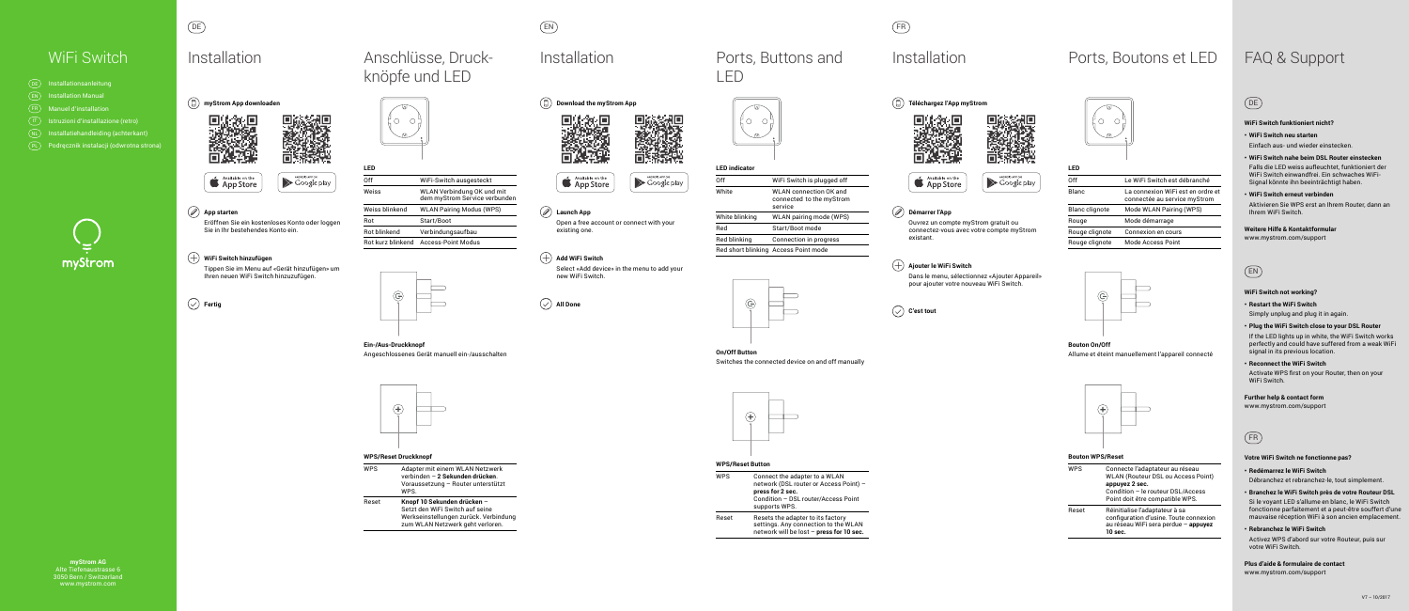**myStrom AG** Alte Tiefenaustrasse 6 3050 Bern / Switzerland www.mystrom.com







### **App starten**

 Eröffnen Sie ein kostenloses Konto oder loggen Sie in Ihr bestehendes Konto ein.

### **WiFi Switch hinzufügen**

 Tippen Sie im Menu auf «Gerät hinzufügen» um Ihren neuen WiFi Switch hinzuzufügen.

 **Fertig**



# DE FR

Anschlüsse, Druck-

knöpfe und LED



### **LED**

| 0ff                 | WiFi-Switch ausgesteckt                                     |
|---------------------|-------------------------------------------------------------|
| Weiss               | WLAN Verbindung OK und mit<br>dem myStrom Service verbunden |
| Weiss blinkend      | <b>WLAN Pairing Modus (WPS)</b>                             |
| Rot                 | Start/Boot                                                  |
| <b>Rot blinkend</b> | Verbindungsaufbau                                           |
| Bot kurz blinkend   | Access-Point Modus                                          |

# WiFi Switch FAQ & Support Installation Ports, Boutons et LED

### **Ein-/Aus-Druckknopf** Angeschlossenes Gerät manuell ein-/ausschalten



### **WPS/Reset Druckknopf**

WPS Adapter mit einem WLAN Netzwerk verbinden – **2 Sekunden drücken**. Voraussetzung – Router unterstützt WPS.

Reset **Knopf 10 Sekunden drücken** – Setzt den WiFi Switch auf seine Werkseinstellungen zurück. Verbindung zum WLAN Netzwerk geht verloren.







### **Démarrer l'App**

 Ouvrez un compte myStrom gratuit ou connectez-vous avec votre compte myStrom existant.

### **Ajouter le WiFi Switch**

 Dans le menu, sélectionnez «Ajouter Appareil» pour ajouter votre nouveau WiFi Switch.





Reset Resets the adapter to its factory settings. Any connection to the WLAN network will be lost – **press for 10 sec.**

| Off                   | Le WiFi Switch est débranché                                      |  |
|-----------------------|-------------------------------------------------------------------|--|
| Blanc                 | La connexion WiFi est en ordre et<br>connectée au service myStrom |  |
| <b>Blanc clignote</b> | Mode WLAN Pairing (WPS)                                           |  |
| Rouge                 | Mode démarrage                                                    |  |
| Rouge clignote        | Connexion en cours                                                |  |
| Rouge clignote        | <b>Mode Access Point</b>                                          |  |
|                       |                                                                   |  |



**Bouton On/Off**  Allume et éteint manuellement l'appareil connecté



### **Bouton WPS/Reset**

Activate WPS first on your Router, then on your WiFi Switch.

| <b>WPS</b> | Connecte l'adaptateur au réseau<br><b>WLAN (Routeur DSL ou Access Point)</b><br>appuyez 2 sec.<br>Condition - le routeur DSL/Access<br>Point doit être compatible WPS. |
|------------|------------------------------------------------------------------------------------------------------------------------------------------------------------------------|
| Reset      | Réinitialise l'adaptateur à sa<br>configuration d'usine. Toute connexion<br>au réseau WiFi sera perdue - appuyez<br>10 sec.                                            |

EN







**Launch App** Open a free account or connect with your existing one.

### $(+)$  Add WiFi Switch

 Select «Add device» in the menu to add your new WiFi Switch.

Falls die LED weiss aufleuchtet, funktioniert der WiFi Switch einwandfrei. Ein schwaches WiFi-Signal könnte ihn beeinträchtigt haben.



LED





# Installation **Ports**, Buttons and

### **LED indicator**

| ∩ff            | WiFi Switch is plugged off                                     |
|----------------|----------------------------------------------------------------|
| White          | WI AN connection OK and<br>connected to the myStrom<br>service |
| White blinking | WLAN pairing mode (WPS)                                        |
| Red            | Start/Boot mode                                                |
| Red blinking   | <b>Connection in progress</b>                                  |
|                | Red short blinking Access Point mode                           |



**On/Off Button** 



Switches the connected device on and off manually



### **WPS/Reset Button**

WPS Connect the adapter to a WLAN network (DSL router or Access Point) – **press for 2 sec.**  Condition – DSL router/Access Point supports WPS.

| $DE$ ) | Installationsanleitung                  |
|--------|-----------------------------------------|
| EN )   | <b>Installation Manual</b>              |
| FR)    | <b>Manuel d'installation</b>            |
| IT.    | Istruzioni d'installazione (retro)      |
| NL,    | Installatiehandleiding (achterkant)     |
|        | Podręcznik instalacji (odwrotna strona) |
|        |                                         |



# **Installation**

# EN

### **WiFi Switch not working?**

**• Restart the WiFi Switch**

Simply unplug and plug it in again.

**• Plug the WiFi Switch close to your DSL Router** If the LED lights up in white, the WiFi Switch works perfectly and could have suffered from a weak WiFi

signal in its previous location.

### **• Reconnect the WiFi Switch**

**Further help & contact form**  www.mystrom.com/support

FR

### **Votre WiFi Switch ne fonctionne pas?**

### **• Redémarrez le WiFi Switch** Débranchez et rebranchez-le, tout simplement.

**• Branchez le WiFi Switch près de votre Routeur DSL**

Si le voyant LED s'allume en blanc, le WiFi Switch fonctionne parfaitement et a peut-être souffert d'une mauvaise réception WiFi à son ancien emplacement.

### **• Rebranchez le WiFi Switch**

Activez WPS d'abord sur votre Routeur, puis sur votre WiFi Switch.

**Plus d'aide & formulaire de contact**  www.mystrom.com/support

# DE

### **WiFi Switch funktioniert nicht?**

### **• WiFi Switch neu starten**

Einfach aus- und wieder einstecken.

**• WiFi Switch nahe beim DSL Router einstecken**

### **• WiFi Switch erneut verbinden**

Aktivieren Sie WPS erst an Ihrem Router, dann an Ihrem WiFi Switch.

**Weitere Hilfe & Kontaktformular** 

www.mystrom.com/support